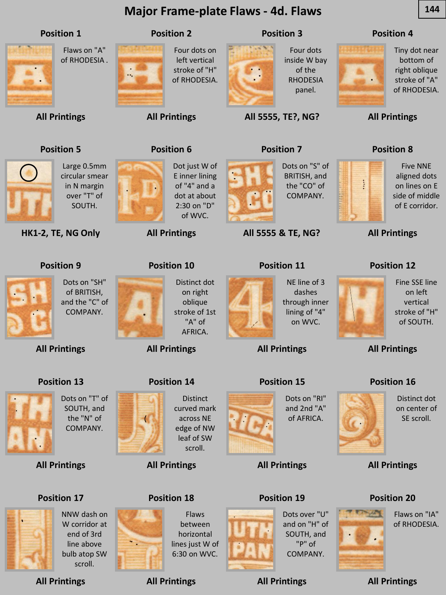

**All Printings** scroll.

line above bulb atop SW ۰.

**All Printings**

lines just W of 6:30 on WVC.

**All Printings**

"P" of COMPANY.

**All Printings**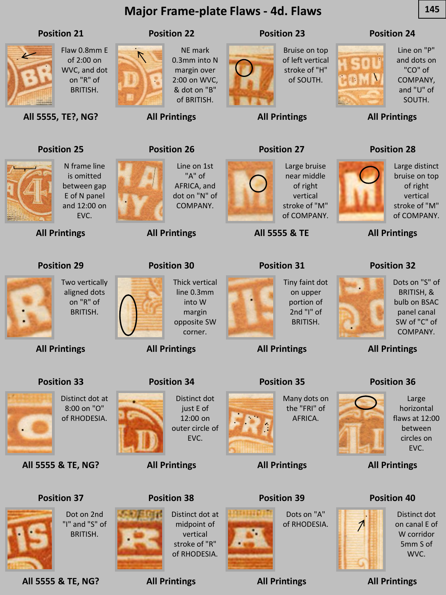### **Major Frame-plate Flaws - 4d. Flaws 145**



Flaw 0.8mm E of 2:00 on WVC, and dot on "R" of BRITISH.

### **Position 22**

 $\overline{\Lambda}$ 

NE mark 0.3mm into N margin over 2:00 on WVC, & dot on "B" of BRITISH.

**All Printings**

**Position 26**

### **Position 23**

**All Printings**

**Position 27**



Bruise on top of left vertical stroke of "H" of SOUTH.

### **Position 24**



Line on "P" and dots on "CO" of COMPANY, and "U" of SOUTH.

**All Printings**

### **Position 28**



Large distinct bruise on top of right vertical stroke of "M" of COMPANY.

**All Printings**

### **Position 32**



Dots on "S" of BRITISH, & bulb on BSAC panel canal SW of "C" of COMPANY.

**All Printings**

### **Position 36**



Large horizontal flaws at 12:00 between circles on EVC.

### **All Printings**

### **Position 40**



Distinct dot on canal E of W corridor 5mm S of WVC.

**All Printings**

# **Position 25**

**All 5555, TE?, NG?**

**Position 21**



is omitted between gap E of N panel and 12:00 on EVC.

Two vertically aligned dots on "R" of BRITISH.

N frame line

**All Printings**

**Position 29**

**All Printings**

**Position 33**



Line on 1st "A" of AFRICA, and dot on "N" of COMPANY.

Thick vertical line 0.3mm into W margin opposite SW corner.

**All Printings**

**Position 30**



Large bruise near middle of right vertical stroke of "M" of COMPANY.

**All 5555 & TE**

### **Position 31**



Tiny faint dot on upper portion of 2nd "I" of BRITISH.

**All Printings**

### **Position 35**



the "FRI" of

**Position 39**

Dots on "A" of RHODESIA.





**All Printings**

Distinct dot at 8:00 on "O" of RHODESIA.

Dot on 2nd "I" and "S" of BRITISH.

**All 5555 & TE, NG?**

### **Position 37**



**All 5555 & TE, NG?**





**Position 34**

**All Printings**

Distinct dot just E of 12:00 on outer circle of EVC.

**All Printings**

# **Position 38**

midpoint of vertical stroke of "R"







Many dots on